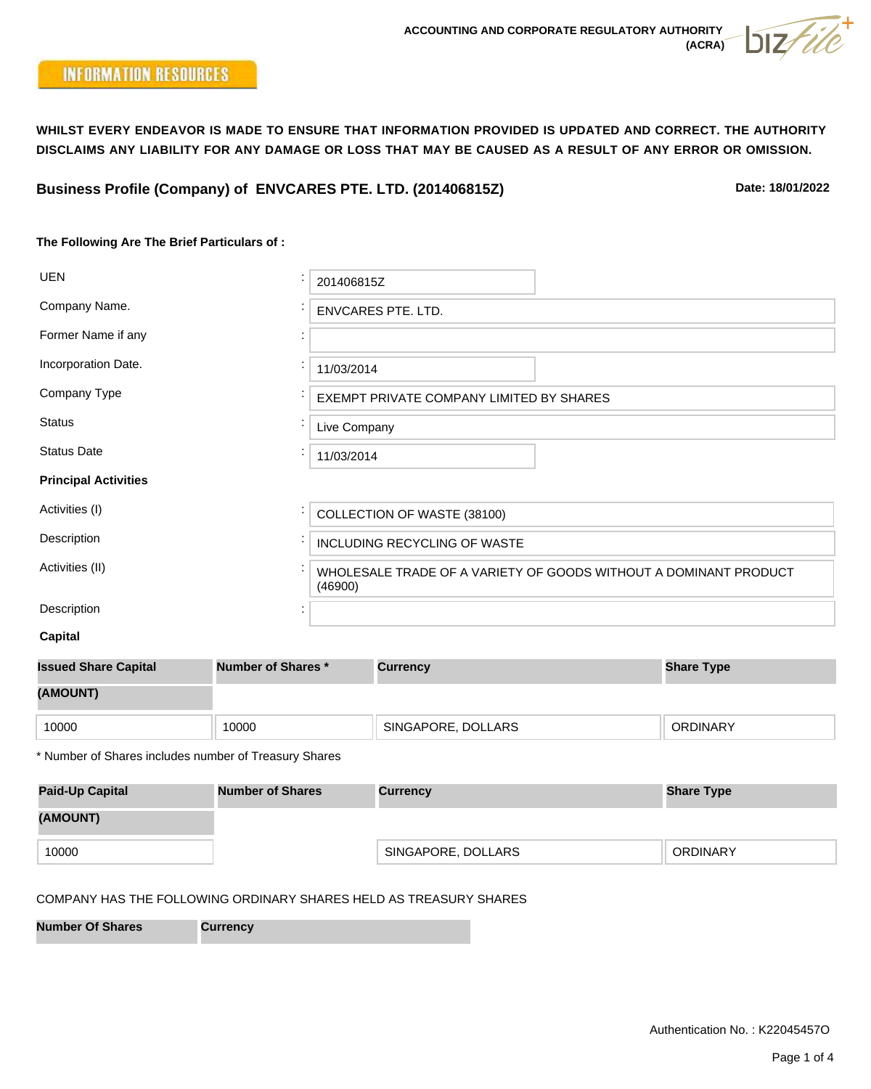**Date: 18/01/2022**

# **The Following Are The Brief Particulars of :**

| <b>UEN</b>                  | 201406815Z                                                                  |  |  |  |  |  |
|-----------------------------|-----------------------------------------------------------------------------|--|--|--|--|--|
| Company Name.               | <b>ENVCARES PTE. LTD.</b>                                                   |  |  |  |  |  |
| Former Name if any          |                                                                             |  |  |  |  |  |
| Incorporation Date.         | 11/03/2014                                                                  |  |  |  |  |  |
| Company Type                | EXEMPT PRIVATE COMPANY LIMITED BY SHARES                                    |  |  |  |  |  |
| <b>Status</b>               | Live Company                                                                |  |  |  |  |  |
| <b>Status Date</b>          | 11/03/2014                                                                  |  |  |  |  |  |
| <b>Principal Activities</b> |                                                                             |  |  |  |  |  |
| Activities (I)              | COLLECTION OF WASTE (38100)                                                 |  |  |  |  |  |
| Description                 | INCLUDING RECYCLING OF WASTE                                                |  |  |  |  |  |
| Activities (II)             | WHOLESALE TRADE OF A VARIETY OF GOODS WITHOUT A DOMINANT PRODUCT<br>(46900) |  |  |  |  |  |
| Description                 |                                                                             |  |  |  |  |  |

```
 Capital
```

| <b>Number of Shares *</b><br><b>Issued Share Capital</b> |       | <b>Currency</b>    | <b>Share Type</b> |
|----------------------------------------------------------|-------|--------------------|-------------------|
| (AMOUNT)                                                 |       |                    |                   |
| 10000                                                    | 10000 | SINGAPORE, DOLLARS | <b>ORDINARY</b>   |
|                                                          |       |                    |                   |

\* Number of Shares includes number of Treasury Shares

| <b>Paid-Up Capital</b> | <b>Number of Shares</b> | <b>Currency</b>    | <b>Share Type</b> |  |
|------------------------|-------------------------|--------------------|-------------------|--|
| (AMOUNT)               |                         |                    |                   |  |
| 10000                  |                         | SINGAPORE, DOLLARS | <b>ORDINARY</b>   |  |

## COMPANY HAS THE FOLLOWING ORDINARY SHARES HELD AS TREASURY SHARES

**Number Of Shares Currency**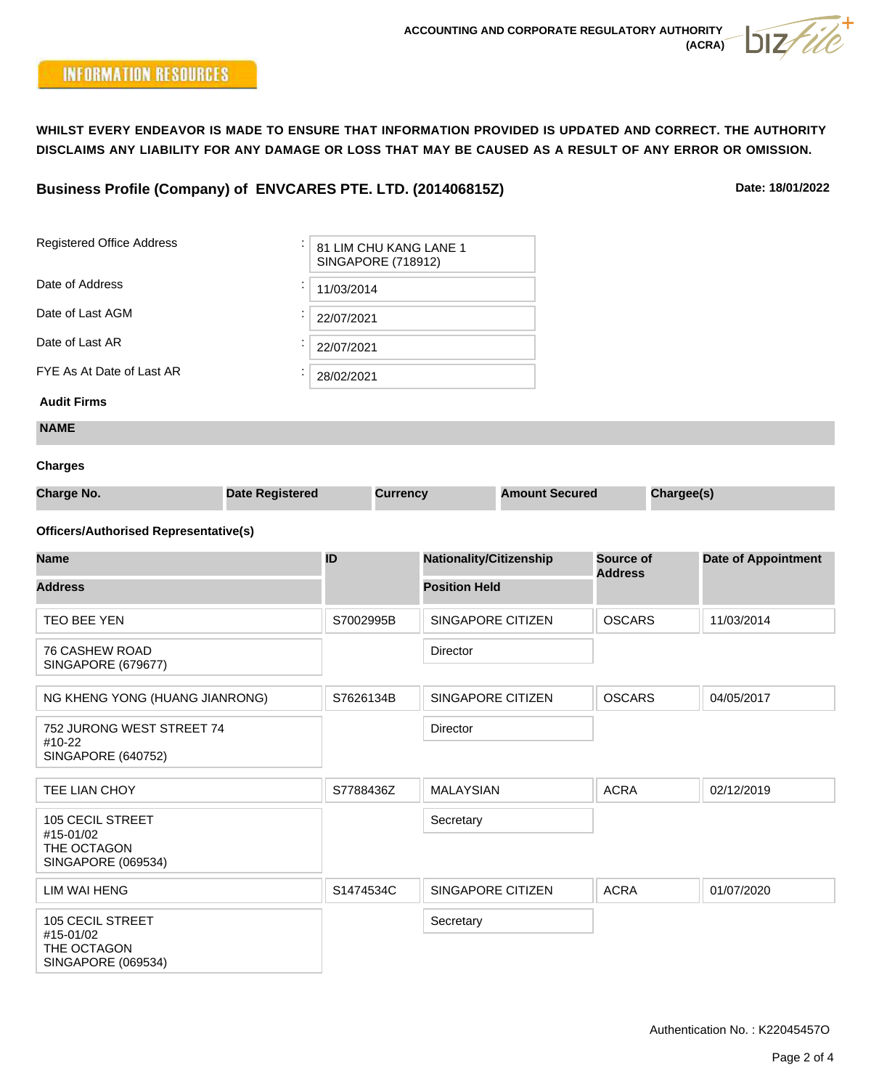# **Business Profile (Company) of ENVCARES PTE. LTD. (201406815Z)**

**Date: 18/01/2022**

| <b>Registered Office Address</b>                                          |                           | 81 LIM CHU KANG LANE 1 |                 |                                |                       |                             |            |                            |
|---------------------------------------------------------------------------|---------------------------|------------------------|-----------------|--------------------------------|-----------------------|-----------------------------|------------|----------------------------|
| Date of Address                                                           | <b>SINGAPORE (718912)</b> |                        |                 |                                |                       |                             |            |                            |
|                                                                           | 11/03/2014                |                        |                 |                                |                       |                             |            |                            |
| Date of Last AGM                                                          |                           |                        | 22/07/2021      |                                |                       |                             |            |                            |
| Date of Last AR                                                           |                           | 22/07/2021             |                 |                                |                       |                             |            |                            |
| FYE As At Date of Last AR                                                 |                           | 28/02/2021             |                 |                                |                       |                             |            |                            |
| <b>Audit Firms</b>                                                        |                           |                        |                 |                                |                       |                             |            |                            |
| <b>NAME</b>                                                               |                           |                        |                 |                                |                       |                             |            |                            |
| <b>Charges</b>                                                            |                           |                        |                 |                                |                       |                             |            |                            |
| <b>Charge No.</b>                                                         | <b>Date Registered</b>    |                        | <b>Currency</b> |                                | <b>Amount Secured</b> |                             | Chargee(s) |                            |
| <b>Officers/Authorised Representative(s)</b>                              |                           |                        |                 |                                |                       |                             |            |                            |
| <b>Name</b>                                                               |                           | ID                     |                 | <b>Nationality/Citizenship</b> |                       | Source of<br><b>Address</b> |            | <b>Date of Appointment</b> |
| <b>Address</b>                                                            |                           |                        |                 | <b>Position Held</b>           |                       |                             |            |                            |
| TEO BEE YEN                                                               |                           | S7002995B              |                 | SINGAPORE CITIZEN              |                       | <b>OSCARS</b>               |            | 11/03/2014                 |
| 76 CASHEW ROAD<br><b>SINGAPORE (679677)</b>                               |                           |                        |                 | Director                       |                       |                             |            |                            |
| NG KHENG YONG (HUANG JIANRONG)                                            |                           | S7626134B              |                 | SINGAPORE CITIZEN              |                       | <b>OSCARS</b>               |            | 04/05/2017                 |
| 752 JURONG WEST STREET 74<br>#10-22<br><b>SINGAPORE (640752)</b>          |                           |                        |                 | Director                       |                       |                             |            |                            |
| TEE LIAN CHOY                                                             |                           | S7788436Z              |                 | <b>MALAYSIAN</b>               |                       | <b>ACRA</b>                 |            | 02/12/2019                 |
| <b>105 CECIL STREET</b><br>#15-01/02<br>THE OCTAGON<br>SINGAPORE (069534) |                           |                        |                 | Secretary                      |                       |                             |            |                            |
| <b>LIM WAI HENG</b>                                                       |                           | S1474534C              |                 | <b>SINGAPORE CITIZEN</b>       |                       | <b>ACRA</b>                 |            | 01/07/2020                 |
| <b>105 CECIL STREET</b><br>#15-01/02<br>THE OCTAGON<br>SINGAPORE (069534) |                           |                        |                 | Secretary                      |                       |                             |            |                            |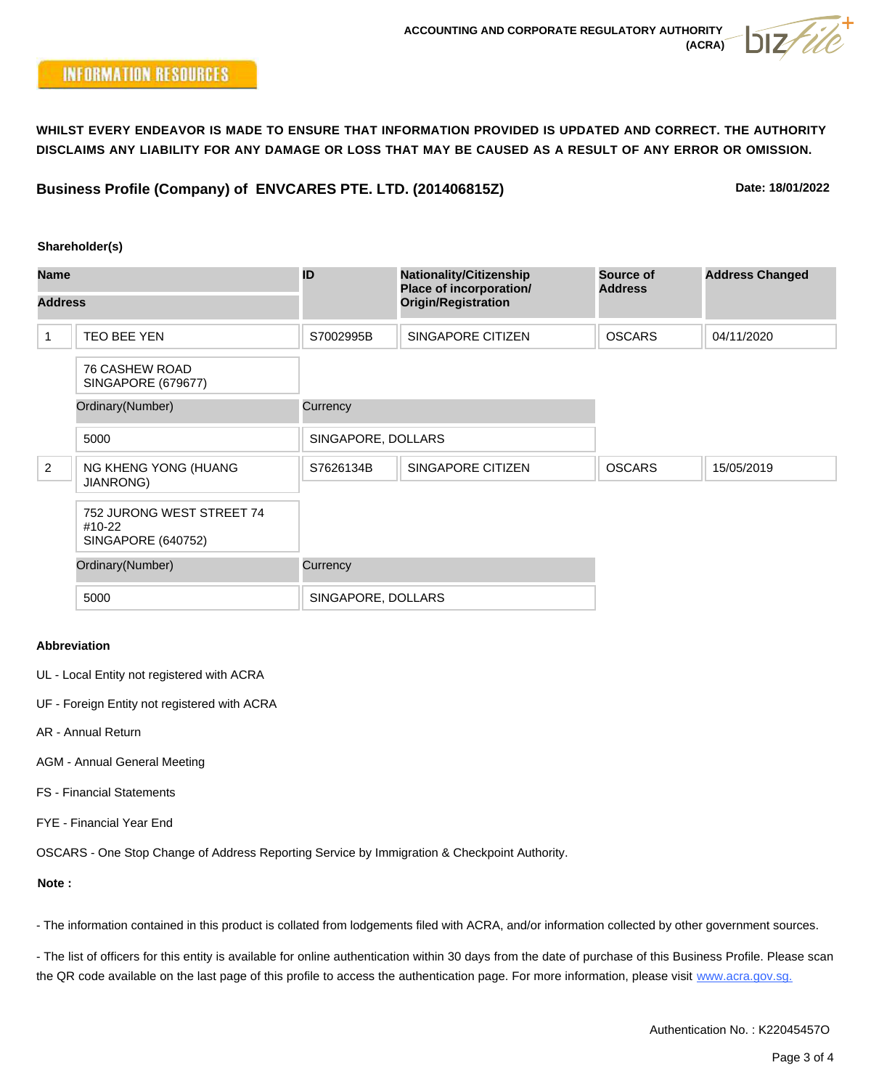**Business Profile (Company) of ENVCARES PTE. LTD. (201406815Z)**

**Date: 18/01/2022**

#### **Shareholder(s)**

| <b>Name</b><br><b>Address</b> |                                                                  | ID                 | <b>Nationality/Citizenship</b><br><b>Place of incorporation/</b> | Source of<br><b>Address</b> | <b>Address Changed</b> |
|-------------------------------|------------------------------------------------------------------|--------------------|------------------------------------------------------------------|-----------------------------|------------------------|
|                               |                                                                  |                    | <b>Origin/Registration</b>                                       |                             |                        |
| 1                             | TEO BEE YEN                                                      | S7002995B          | SINGAPORE CITIZEN                                                | <b>OSCARS</b>               | 04/11/2020             |
|                               | <b>76 CASHEW ROAD</b><br>SINGAPORE (679677)                      |                    |                                                                  |                             |                        |
|                               | Ordinary(Number)                                                 | Currency           |                                                                  |                             |                        |
|                               | 5000                                                             | SINGAPORE, DOLLARS |                                                                  |                             |                        |
| 2                             | NG KHENG YONG (HUANG<br><b>JIANRONG)</b>                         | S7626134B          | <b>SINGAPORE CITIZEN</b>                                         | <b>OSCARS</b>               | 15/05/2019             |
|                               | 752 JURONG WEST STREET 74<br>#10-22<br><b>SINGAPORE (640752)</b> |                    |                                                                  |                             |                        |
|                               | Ordinary(Number)                                                 | Currency           |                                                                  |                             |                        |
|                               | 5000                                                             | SINGAPORE, DOLLARS |                                                                  |                             |                        |

### **Abbreviation**

- UL Local Entity not registered with ACRA
- UF Foreign Entity not registered with ACRA
- AR Annual Return
- AGM Annual General Meeting
- FS Financial Statements
- FYE Financial Year End

OSCARS - One Stop Change of Address Reporting Service by Immigration & Checkpoint Authority.

## **Note :**

- The information contained in this product is collated from lodgements filed with ACRA, and/or information collected by other government sources.

- The list of officers for this entity is available for online authentication within 30 days from the date of purchase of this Business Profile. Please scan the QR code available on the last page of this profile to access the authentication page. For more information, please visit www.acra.gov.sg.